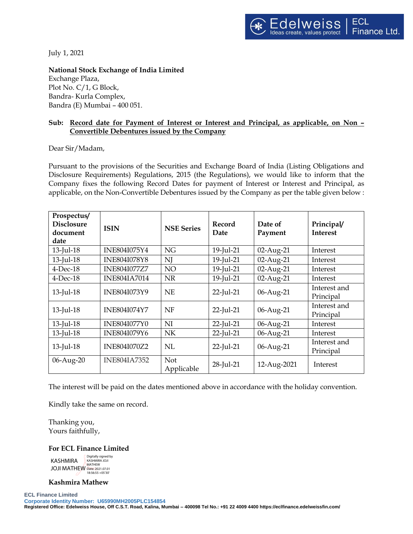July 1, 2021

## **National Stock Exchange of India Limited**

Exchange Plaza, Plot No. C/1, G Block, Bandra- Kurla Complex, Bandra (E) Mumbai – 400 051.

# **Sub: Record date for Payment of Interest or Interest and Principal, as applicable, on Non – Convertible Debentures issued by the Company**

## Dear Sir/Madam,

Pursuant to the provisions of the Securities and Exchange Board of India (Listing Obligations and Disclosure Requirements) Regulations, 2015 (the Regulations), we would like to inform that the Company fixes the following Record Dates for payment of Interest or Interest and Principal, as applicable, on the Non-Convertible Debentures issued by the Company as per the table given below :

| Prospectus/<br><b>Disclosure</b><br>document<br>date | <b>ISIN</b>         | <b>NSE Series</b>        | Record<br>Date | Date of<br>Payment | Principal/<br><b>Interest</b> |
|------------------------------------------------------|---------------------|--------------------------|----------------|--------------------|-------------------------------|
| 13-Jul-18                                            | INE804I075Y4        | <b>NG</b>                | 19-Jul-21      | 02-Aug-21          | Interest                      |
| 13-Jul-18                                            | <b>INE804I078Y8</b> | N                        | 19-Jul-21      | 02-Aug-21          | Interest                      |
| $4$ -Dec-18                                          | <b>INE804I077Z7</b> | NO                       | 19-Jul-21      | 02-Aug-21          | Interest                      |
| $4$ -Dec-18                                          | <b>INE804IA7014</b> | <b>NR</b>                | 19-Jul-21      | 02-Aug-21          | Interest                      |
| 13-Jul-18                                            | INE804I073Y9        | <b>NE</b>                | $22$ -Jul-21   | 06-Aug-21          | Interest and<br>Principal     |
| 13-Jul-18                                            | <b>INE804I074Y7</b> | NF                       | $22$ -Jul-21   | 06-Aug-21          | Interest and<br>Principal     |
| 13-Jul-18                                            | <b>INE804I077Y0</b> | NI                       | $22$ -Jul-21   | 06-Aug-21          | Interest                      |
| 13-Jul-18                                            | <b>INE804I079Y6</b> | NK                       | $22$ -Jul-21   | 06-Aug-21          | Interest                      |
| 13-Jul-18                                            | INE804I070Z2        | NL                       | 22-Jul-21      | 06-Aug-21          | Interest and<br>Principal     |
| 06-Aug-20                                            | <b>INE804IA7352</b> | <b>Not</b><br>Applicable | 28-Jul-21      | 12-Aug-2021        | Interest                      |

The interest will be paid on the dates mentioned above in accordance with the holiday convention.

Kindly take the same on record.

Thanking you, Yours faithfully,

### **For ECL Finance Limited**

KASHMIRA JOJI MATHEW **Digitally signed by**<br>KASHMIRA IOIL KASHMIRA JOJI MATHEW Date: 2021.07.01 18:56:55 +05'30'

### **Kashmira Mathew**